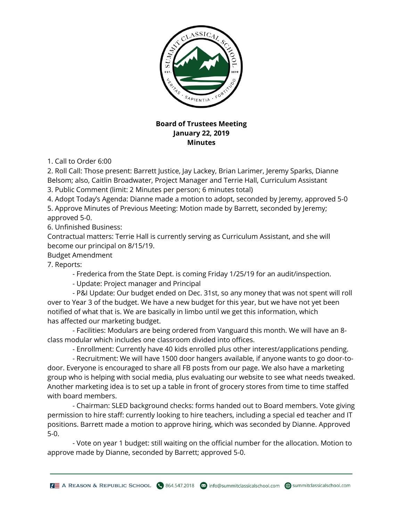

## **Board of Trustees Meeting January 22, 2019 Minutes**

1. Call to Order 6:00

2. Roll Call: Those present: Barrett Justice, Jay Lackey, Brian Larimer, Jeremy Sparks, Dianne Belsom; also, Caitlin Broadwater, Project Manager and Terrie Hall, Curriculum Assistant

3. Public Comment (limit: 2 Minutes per person; 6 minutes total)

4. Adopt Today's Agenda: Dianne made a motion to adopt, seconded by Jeremy, approved 5-0

5. Approve Minutes of Previous Meeting: Motion made by Barrett, seconded by Jeremy; approved 5-0.

6. Unfinished Business:

Contractual matters: Terrie Hall is currently serving as Curriculum Assistant, and she will become our principal on 8/15/19.

## Budget Amendment

7. Reports:

- Frederica from the State Dept. is coming Friday 1/25/19 for an audit/inspection.

- Update: Project manager and Principal

 - P&I Update: Our budget ended on Dec. 31st, so any money that was not spent will roll over to Year 3 of the budget. We have a new budget for this year, but we have not yet been notified of what that is. We are basically in limbo until we get this information, which has affected our marketing budget.

 - Facilities: Modulars are being ordered from Vanguard this month. We will have an 8 class modular which includes one classroom divided into offices.

- Enrollment: Currently have 40 kids enrolled plus other interest/applications pending.

 - Recruitment: We will have 1500 door hangers available, if anyone wants to go door-todoor. Everyone is encouraged to share all FB posts from our page. We also have a marketing group who is helping with social media, plus evaluating our website to see what needs tweaked. Another marketing idea is to set up a table in front of grocery stores from time to time staffed with board members.

 - Chairman: SLED background checks: forms handed out to Board members. Vote giving permission to hire staff: currently looking to hire teachers, including a special ed teacher and IT positions. Barrett made a motion to approve hiring, which was seconded by Dianne. Approved 5-0.

 - Vote on year 1 budget: still waiting on the official number for the allocation. Motion to approve made by Dianne, seconded by Barrett; approved 5-0.